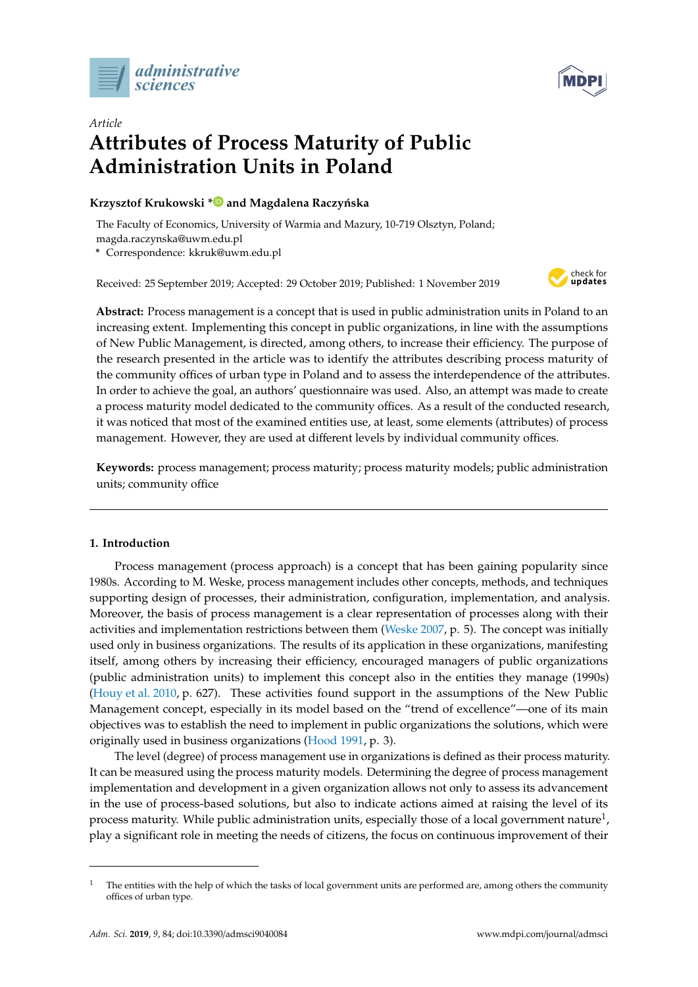



# *Article* **Attributes of Process Maturity of Public Administration Units in Poland**

# **Krzysztof Krukowski [\\*](https://orcid.org/0000-0002-1614-4397)** and Magdalena Raczyńska

The Faculty of Economics, University of Warmia and Mazury, 10-719 Olsztyn, Poland; magda.raczynska@uwm.edu.pl

**\*** Correspondence: kkruk@uwm.edu.pl

Received: 25 September 2019; Accepted: 29 October 2019; Published: 1 November 2019



**Abstract:** Process management is a concept that is used in public administration units in Poland to an increasing extent. Implementing this concept in public organizations, in line with the assumptions of New Public Management, is directed, among others, to increase their efficiency. The purpose of the research presented in the article was to identify the attributes describing process maturity of the community offices of urban type in Poland and to assess the interdependence of the attributes. In order to achieve the goal, an authors' questionnaire was used. Also, an attempt was made to create a process maturity model dedicated to the community offices. As a result of the conducted research, it was noticed that most of the examined entities use, at least, some elements (attributes) of process management. However, they are used at different levels by individual community offices.

**Keywords:** process management; process maturity; process maturity models; public administration units; community office

## **1. Introduction**

Process management (process approach) is a concept that has been gaining popularity since 1980s. According to M. Weske, process management includes other concepts, methods, and techniques supporting design of processes, their administration, configuration, implementation, and analysis. Moreover, the basis of process management is a clear representation of processes along with their activities and implementation restrictions between them [\(Weske](#page-12-0) [2007,](#page-12-0) p. 5). The concept was initially used only in business organizations. The results of its application in these organizations, manifesting itself, among others by increasing their efficiency, encouraged managers of public organizations (public administration units) to implement this concept also in the entities they manage (1990s) [\(Houy et al.](#page-11-0) [2010,](#page-11-0) p. 627). These activities found support in the assumptions of the New Public Management concept, especially in its model based on the "trend of excellence"—one of its main objectives was to establish the need to implement in public organizations the solutions, which were originally used in business organizations [\(Hood](#page-11-1) [1991,](#page-11-1) p. 3).

The level (degree) of process management use in organizations is defined as their process maturity. It can be measured using the process maturity models. Determining the degree of process management implementation and development in a given organization allows not only to assess its advancement in the use of process-based solutions, but also to indicate actions aimed at raising the level of its process maturity. While public administration units, especially those of a local government nature $^1$ , play a significant role in meeting the needs of citizens, the focus on continuous improvement of their

<sup>&</sup>lt;sup>1</sup> The entities with the help of which the tasks of local government units are performed are, among others the community offices of urban type.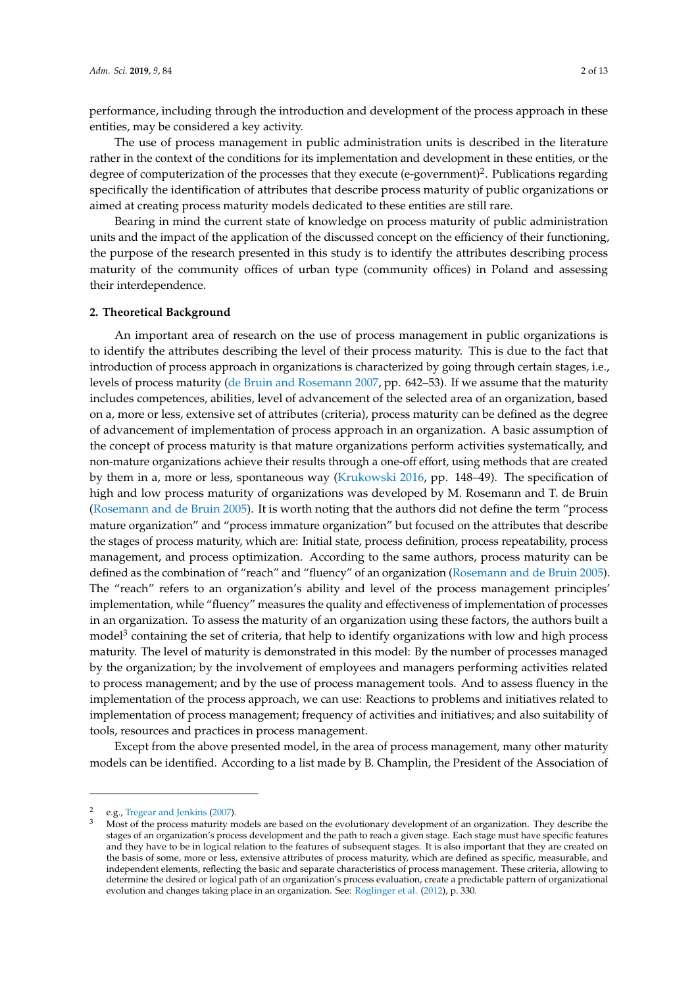performance, including through the introduction and development of the process approach in these entities, may be considered a key activity.

The use of process management in public administration units is described in the literature rather in the context of the conditions for its implementation and development in these entities, or the degree of computerization of the processes that they execute (e-government)<sup>2</sup>. Publications regarding specifically the identification of attributes that describe process maturity of public organizations or aimed at creating process maturity models dedicated to these entities are still rare.

Bearing in mind the current state of knowledge on process maturity of public administration units and the impact of the application of the discussed concept on the efficiency of their functioning, the purpose of the research presented in this study is to identify the attributes describing process maturity of the community offices of urban type (community offices) in Poland and assessing their interdependence.

### **2. Theoretical Background**

An important area of research on the use of process management in public organizations is to identify the attributes describing the level of their process maturity. This is due to the fact that introduction of process approach in organizations is characterized by going through certain stages, i.e., levels of process maturity [\(de Bruin and Rosemann](#page-11-2) [2007,](#page-11-2) pp. 642–53). If we assume that the maturity includes competences, abilities, level of advancement of the selected area of an organization, based on a, more or less, extensive set of attributes (criteria), process maturity can be defined as the degree of advancement of implementation of process approach in an organization. A basic assumption of the concept of process maturity is that mature organizations perform activities systematically, and non-mature organizations achieve their results through a one-off effort, using methods that are created by them in a, more or less, spontaneous way [\(Krukowski](#page-11-3) [2016,](#page-11-3) pp. 148–49). The specification of high and low process maturity of organizations was developed by M. Rosemann and T. de Bruin [\(Rosemann and de Bruin](#page-12-1) [2005\)](#page-12-1). It is worth noting that the authors did not define the term "process mature organization" and "process immature organization" but focused on the attributes that describe the stages of process maturity, which are: Initial state, process definition, process repeatability, process management, and process optimization. According to the same authors, process maturity can be defined as the combination of "reach" and "fluency" of an organization [\(Rosemann and de Bruin](#page-12-1) [2005\)](#page-12-1). The "reach" refers to an organization's ability and level of the process management principles' implementation, while "fluency" measures the quality and effectiveness of implementation of processes in an organization. To assess the maturity of an organization using these factors, the authors built a model<sup>3</sup> containing the set of criteria, that help to identify organizations with low and high process maturity. The level of maturity is demonstrated in this model: By the number of processes managed by the organization; by the involvement of employees and managers performing activities related to process management; and by the use of process management tools. And to assess fluency in the implementation of the process approach, we can use: Reactions to problems and initiatives related to implementation of process management; frequency of activities and initiatives; and also suitability of tools, resources and practices in process management.

Except from the above presented model, in the area of process management, many other maturity models can be identified. According to a list made by B. Champlin, the President of the Association of

 $\overline{2}$ e.g., [Tregear and Jenkins](#page-12-2) [\(2007\)](#page-12-2).

<sup>3</sup> Most of the process maturity models are based on the evolutionary development of an organization. They describe the stages of an organization's process development and the path to reach a given stage. Each stage must have specific features and they have to be in logical relation to the features of subsequent stages. It is also important that they are created on the basis of some, more or less, extensive attributes of process maturity, which are defined as specific, measurable, and independent elements, reflecting the basic and separate characteristics of process management. These criteria, allowing to determine the desired or logical path of an organization's process evaluation, create a predictable pattern of organizational evolution and changes taking place in an organization. See: [Röglinger et al.](#page-12-3) [\(2012\)](#page-12-3), p. 330.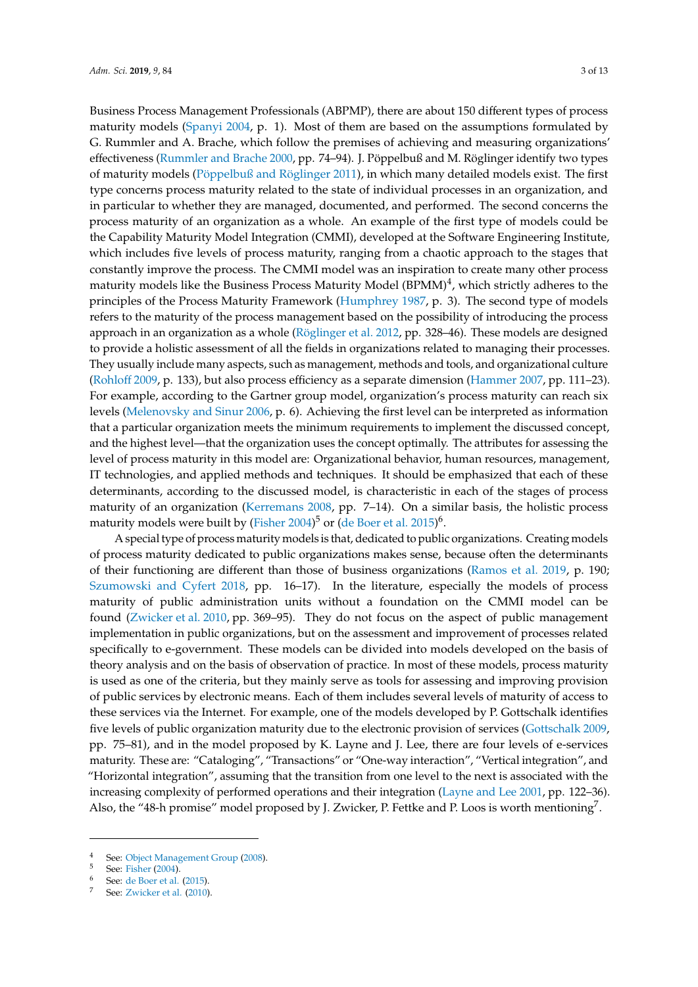Business Process Management Professionals (ABPMP), there are about 150 different types of process maturity models [\(Spanyi](#page-12-4) [2004,](#page-12-4) p. 1). Most of them are based on the assumptions formulated by G. Rummler and A. Brache, which follow the premises of achieving and measuring organizations' effectiveness [\(Rummler and Brache](#page-12-5) [2000,](#page-12-5) pp. 74–94). J. Pöppelbuß and M. Röglinger identify two types of maturity models [\(Pöppelbuß and Röglinger](#page-11-4) [2011\)](#page-11-4), in which many detailed models exist. The first type concerns process maturity related to the state of individual processes in an organization, and in particular to whether they are managed, documented, and performed. The second concerns the process maturity of an organization as a whole. An example of the first type of models could be the Capability Maturity Model Integration (CMMI), developed at the Software Engineering Institute, which includes five levels of process maturity, ranging from a chaotic approach to the stages that constantly improve the process. The CMMI model was an inspiration to create many other process maturity models like the Business Process Maturity Model (BPMM) $^4$ , which strictly adheres to the principles of the Process Maturity Framework [\(Humphrey](#page-11-5) [1987,](#page-11-5) p. 3). The second type of models refers to the maturity of the process management based on the possibility of introducing the process approach in an organization as a whole [\(Röglinger et al.](#page-12-3) [2012,](#page-12-3) pp. 328-46). These models are designed to provide a holistic assessment of all the fields in organizations related to managing their processes. They usually include many aspects, such as management, methods and tools, and organizational culture [\(Rohlo](#page-12-6)ff [2009,](#page-12-6) p. 133), but also process efficiency as a separate dimension [\(Hammer](#page-11-6) [2007,](#page-11-6) pp. 111–23). For example, according to the Gartner group model, organization's process maturity can reach six levels [\(Melenovsky and Sinur](#page-11-7) [2006,](#page-11-7) p. 6). Achieving the first level can be interpreted as information that a particular organization meets the minimum requirements to implement the discussed concept, and the highest level—that the organization uses the concept optimally. The attributes for assessing the level of process maturity in this model are: Organizational behavior, human resources, management, IT technologies, and applied methods and techniques. It should be emphasized that each of these determinants, according to the discussed model, is characteristic in each of the stages of process maturity of an organization [\(Kerremans](#page-11-8) [2008,](#page-11-8) pp. 7–14). On a similar basis, the holistic process maturity models were built by [\(Fisher](#page-11-9) [2004\)](#page-11-9) $^5$  or [\(de Boer et al.](#page-11-10) [2015\)](#page-11-10) $^6$ .

A special type of process maturity models is that, dedicated to public organizations. Creating models of process maturity dedicated to public organizations makes sense, because often the determinants of their functioning are different than those of business organizations [\(Ramos et al.](#page-12-7) [2019,](#page-12-7) p. 190; [Szumowski and Cyfert](#page-12-8) [2018,](#page-12-8) pp. 16–17). In the literature, especially the models of process maturity of public administration units without a foundation on the CMMI model can be found [\(Zwicker et al.](#page-12-9) [2010,](#page-12-9) pp. 369–95). They do not focus on the aspect of public management implementation in public organizations, but on the assessment and improvement of processes related specifically to e-government. These models can be divided into models developed on the basis of theory analysis and on the basis of observation of practice. In most of these models, process maturity is used as one of the criteria, but they mainly serve as tools for assessing and improving provision of public services by electronic means. Each of them includes several levels of maturity of access to these services via the Internet. For example, one of the models developed by P. Gottschalk identifies five levels of public organization maturity due to the electronic provision of services [\(Gottschalk](#page-11-11) [2009,](#page-11-11) pp. 75–81), and in the model proposed by K. Layne and J. Lee, there are four levels of e-services maturity. These are: "Cataloging", "Transactions" or "One-way interaction", "Vertical integration", and "Horizontal integration", assuming that the transition from one level to the next is associated with the increasing complexity of performed operations and their integration [\(Layne and Lee](#page-11-12) [2001,](#page-11-12) pp. 122–36). Also, the "48-h promise" model proposed by J. Zwicker, P. Fettke and P. Loos is worth mentioning<sup>7</sup>.

<sup>&</sup>lt;sup>4</sup> See: [Object Management Group](#page-11-13) [\(2008\)](#page-11-13).

<sup>5</sup> See: [Fisher](#page-11-9) [\(2004\)](#page-11-9).

See: [de Boer et al.](#page-11-10) [\(2015\)](#page-11-10).

See: [Zwicker et al.](#page-12-9) [\(2010\)](#page-12-9).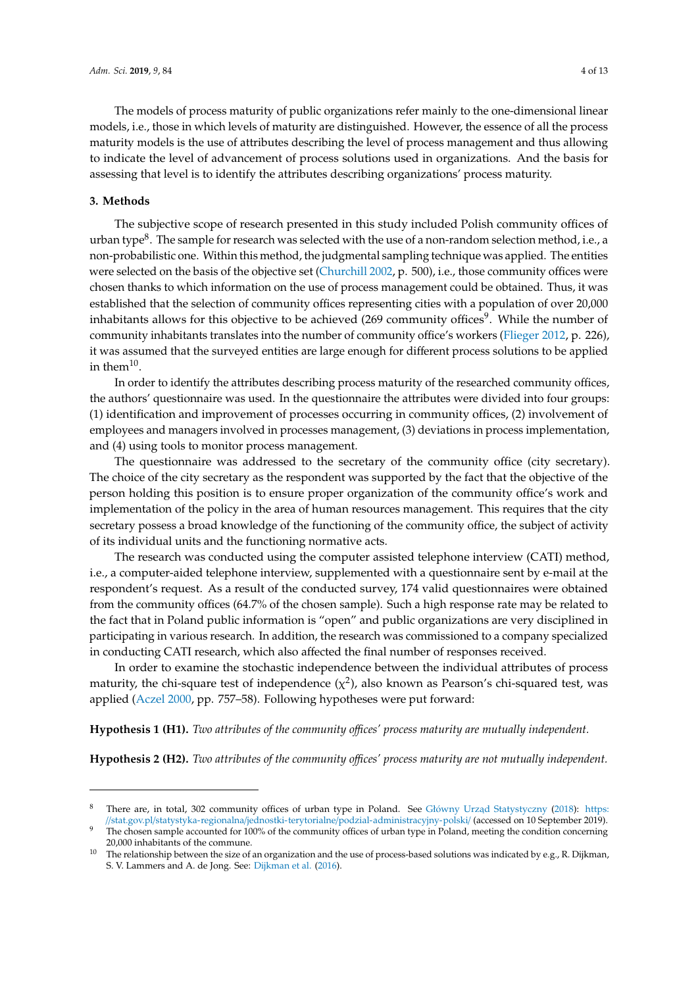The models of process maturity of public organizations refer mainly to the one-dimensional linear models, i.e., those in which levels of maturity are distinguished. However, the essence of all the process maturity models is the use of attributes describing the level of process management and thus allowing to indicate the level of advancement of process solutions used in organizations. And the basis for assessing that level is to identify the attributes describing organizations' process maturity.

#### **3. Methods**

The subjective scope of research presented in this study included Polish community offices of urban type<sup>8</sup>. The sample for research was selected with the use of a non-random selection method, i.e., a non-probabilistic one. Within this method, the judgmental sampling technique was applied. The entities were selected on the basis of the objective set [\(Churchill](#page-11-14) [2002,](#page-11-14) p. 500), i.e., those community offices were chosen thanks to which information on the use of process management could be obtained. Thus, it was established that the selection of community offices representing cities with a population of over 20,000 inhabitants allows for this objective to be achieved (269 community offices<sup>9</sup>. While the number of community inhabitants translates into the number of community office's workers [\(Flieger](#page-11-15) [2012,](#page-11-15) p. 226), it was assumed that the surveyed entities are large enough for different process solutions to be applied in them $^{10}$ .

In order to identify the attributes describing process maturity of the researched community offices, the authors' questionnaire was used. In the questionnaire the attributes were divided into four groups: (1) identification and improvement of processes occurring in community offices, (2) involvement of employees and managers involved in processes management, (3) deviations in process implementation, and (4) using tools to monitor process management.

The questionnaire was addressed to the secretary of the community office (city secretary). The choice of the city secretary as the respondent was supported by the fact that the objective of the person holding this position is to ensure proper organization of the community office's work and implementation of the policy in the area of human resources management. This requires that the city secretary possess a broad knowledge of the functioning of the community office, the subject of activity of its individual units and the functioning normative acts.

The research was conducted using the computer assisted telephone interview (CATI) method, i.e., a computer-aided telephone interview, supplemented with a questionnaire sent by e-mail at the respondent's request. As a result of the conducted survey, 174 valid questionnaires were obtained from the community offices (64.7% of the chosen sample). Such a high response rate may be related to the fact that in Poland public information is "open" and public organizations are very disciplined in participating in various research. In addition, the research was commissioned to a company specialized in conducting CATI research, which also affected the final number of responses received.

In order to examine the stochastic independence between the individual attributes of process maturity, the chi-square test of independence ( $\chi^2$ ), also known as Pearson's chi-squared test, was applied [\(Aczel](#page-11-16) [2000,](#page-11-16) pp. 757–58). Following hypotheses were put forward:

**Hypothesis 1 (H1).** *Two attributes of the community o*ffi*ces' process maturity are mutually independent.*

**Hypothesis 2 (H2).** *Two attributes of the community o*ffi*ces' process maturity are not mutually independent.*

There are, in total, 302 community offices of urban type in Poland. See Główny Urząd Statystyczny [\(2018\)](#page-11-17): [https:](https://stat.gov.pl/statystyka-regionalna/jednostki-terytorialne/podzial-administracyjny-polski/) //stat.gov.pl/statystyka-regionalna/jednostki-terytorialne/[podzial-administracyjny-polski](https://stat.gov.pl/statystyka-regionalna/jednostki-terytorialne/podzial-administracyjny-polski/)/ (accessed on 10 September 2019).

<sup>9</sup> The chosen sample accounted for 100% of the community offices of urban type in Poland, meeting the condition concerning 20,000 inhabitants of the commune.

<sup>&</sup>lt;sup>10</sup> The relationship between the size of an organization and the use of process-based solutions was indicated by e.g., R. Dijkman, S. V. Lammers and A. de Jong. See: [Dijkman et al.](#page-11-18) [\(2016\)](#page-11-18).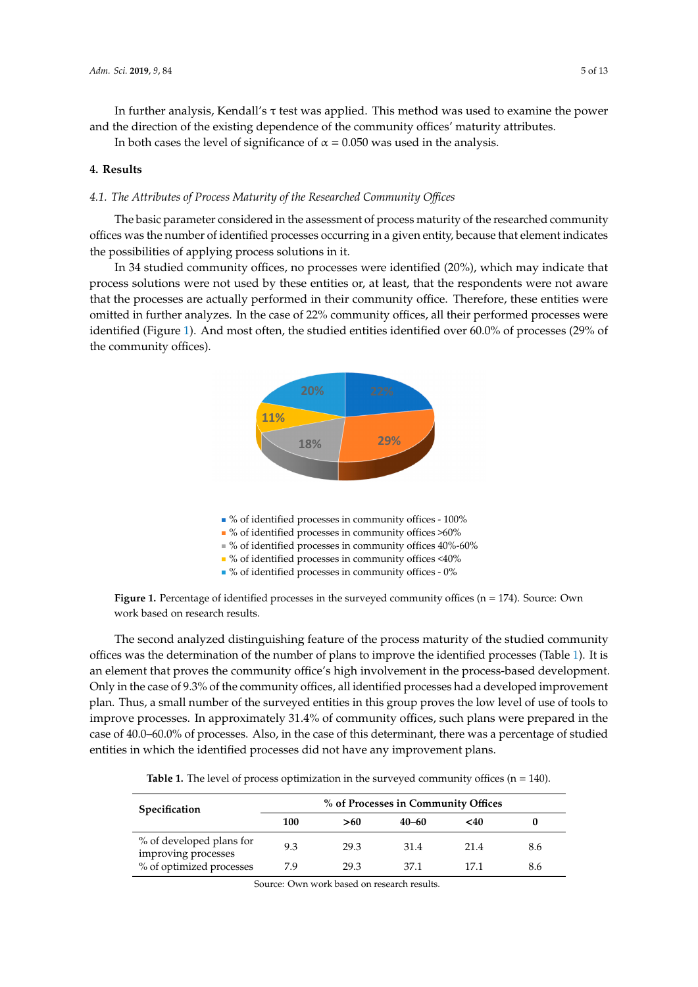In further analysis, Kendall's τ test was applied. This method was used to examine the power In further analysis, Kendall's τ test was applied. This method was used to examine the power and the direction of the existing dependence of the community offices' maturity attributes. and the direction of the existing dependence of the community offices' maturity attributes.

In both cases the level of significance of  $\alpha$  = 0.050 was used in the analysis.

# **4. Results 4. Results**

# *4.1. The Attributes of Process Maturity of the Researched Community O*ffi*ces 4.1. The Attributes of Process Maturity of the Researched Community Offices*

The basic parameter considered in the assessment of process maturity of the researched community The basic parameter considered in the assessment of process maturity of the researched offices was the number of identified processes occurring in a given entity, because that element indicates the possibilities of applying process solutions in it.

<span id="page-4-0"></span>In 34 studied community offices, no processes were identified (20%), which may indicate that In 34 studied community offices, no processes were identified (20%), which may indicate that process solutions were not used by these entities or, at least, that the respondents were not aware process solutions were not used by these entities or, at least, that the respondents were not aware that that the processes are actually performed in their community office. Therefore, these entities were omitted in further analyzes. In the case of 22% community offices, all their performed processes were identified (Figure [1\)](#page-4-0). And most often, the studied entities identified over 60.0% of processes (29% of identified (Figure 1). And most often, the studied entities identified over 60.0% of processes (29% of the community offices). the community offices).



- % of identified processes in community offices 100%
- % of identified processes in community offices >60%
- % of identified processes in community offices 40%-60%
- % of identified processes in community offices <40%
- % of identified processes in community offices 0%

**Figure 1.** Percentage of identified processes in the surveyed community offices (n = 174). Source: Own work based on research results.

**Figure 1.** Percentage of identified processes in the surveyed community offices (n = 174). Source: Own The second analyzed distinguishing feature of the process maturity of the studied community an element that proves the community office's high involvement in the process-based development. Only in the case of 9.3% of the community offices, all identified processes had a developed improvement plan. Thus, a small number of the surveyed entities in this group proves the low level of use of tools to improve processes. In approximately 31.4% of community offices, such plans were prepared in the case of 40.0–60.0% of processes. Also, in the case of this determinant, there was a percentage of studied entities in which the identified processes did not have any improvement plans. offices was the determination of the number of plans to improve the identified processes (Table [1\)](#page-4-1). It is

<span id="page-4-1"></span>**Table 1.** The level of process optimization in the surveyed community offices ( $n = 140$ ).

| Specification                                   | % of Processes in Community Offices |      |       |     |     |  |  |  |  |  |
|-------------------------------------------------|-------------------------------------|------|-------|-----|-----|--|--|--|--|--|
|                                                 | 100                                 | >60  | 40–60 | <40 |     |  |  |  |  |  |
| % of developed plans for<br>improving processes | 9.3                                 | 29.3 | 31.4  | 214 | 8.6 |  |  |  |  |  |
| % of optimized processes                        | 7.9                                 | 29.3 | 37.1  | 171 | 8.6 |  |  |  |  |  |

Source. Own work based on research results.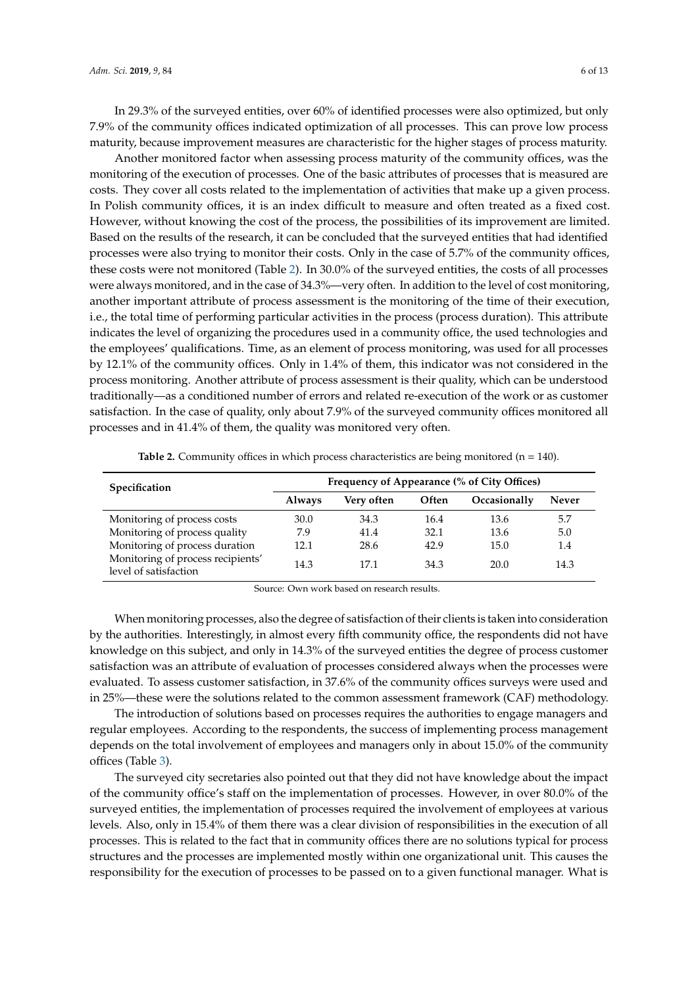In 29.3% of the surveyed entities, over 60% of identified processes were also optimized, but only 7.9% of the community offices indicated optimization of all processes. This can prove low process maturity, because improvement measures are characteristic for the higher stages of process maturity.

Another monitored factor when assessing process maturity of the community offices, was the monitoring of the execution of processes. One of the basic attributes of processes that is measured are costs. They cover all costs related to the implementation of activities that make up a given process. In Polish community offices, it is an index difficult to measure and often treated as a fixed cost. However, without knowing the cost of the process, the possibilities of its improvement are limited. Based on the results of the research, it can be concluded that the surveyed entities that had identified processes were also trying to monitor their costs. Only in the case of 5.7% of the community offices, these costs were not monitored (Table [2\)](#page-5-0). In 30.0% of the surveyed entities, the costs of all processes were always monitored, and in the case of 34.3%—very often. In addition to the level of cost monitoring, another important attribute of process assessment is the monitoring of the time of their execution, i.e., the total time of performing particular activities in the process (process duration). This attribute indicates the level of organizing the procedures used in a community office, the used technologies and the employees' qualifications. Time, as an element of process monitoring, was used for all processes by 12.1% of the community offices. Only in 1.4% of them, this indicator was not considered in the process monitoring. Another attribute of process assessment is their quality, which can be understood traditionally—as a conditioned number of errors and related re-execution of the work or as customer satisfaction. In the case of quality, only about 7.9% of the surveyed community offices monitored all processes and in 41.4% of them, the quality was monitored very often.

<span id="page-5-0"></span>

| Specification                                              | Frequency of Appearance (% of City Offices) |            |       |              |              |  |  |  |  |  |  |
|------------------------------------------------------------|---------------------------------------------|------------|-------|--------------|--------------|--|--|--|--|--|--|
|                                                            | <b>Always</b>                               | Very often | Often | Occasionally | <b>Never</b> |  |  |  |  |  |  |
| Monitoring of process costs                                | 30.0                                        | 34.3       | 16.4  | 13.6         | 5.7          |  |  |  |  |  |  |
| Monitoring of process quality                              | 7.9                                         | 41.4       | 32.1  | 13.6         | 5.0          |  |  |  |  |  |  |
| Monitoring of process duration                             | 12.1                                        | 28.6       | 42.9  | 15.0         | 1.4          |  |  |  |  |  |  |
| Monitoring of process recipients'<br>level of satisfaction | 14.3                                        | 17.1       | 34.3  | 20.0         | 14.3         |  |  |  |  |  |  |

**Table 2.** Community offices in which process characteristics are being monitored ( $n = 140$ ).

Source: Own work based on research results.

When monitoring processes, also the degree of satisfaction of their clients is taken into consideration by the authorities. Interestingly, in almost every fifth community office, the respondents did not have knowledge on this subject, and only in 14.3% of the surveyed entities the degree of process customer satisfaction was an attribute of evaluation of processes considered always when the processes were evaluated. To assess customer satisfaction, in 37.6% of the community offices surveys were used and in 25%—these were the solutions related to the common assessment framework (CAF) methodology.

The introduction of solutions based on processes requires the authorities to engage managers and regular employees. According to the respondents, the success of implementing process management depends on the total involvement of employees and managers only in about 15.0% of the community offices (Table [3\)](#page-6-0).

The surveyed city secretaries also pointed out that they did not have knowledge about the impact of the community office's staff on the implementation of processes. However, in over 80.0% of the surveyed entities, the implementation of processes required the involvement of employees at various levels. Also, only in 15.4% of them there was a clear division of responsibilities in the execution of all processes. This is related to the fact that in community offices there are no solutions typical for process structures and the processes are implemented mostly within one organizational unit. This causes the responsibility for the execution of processes to be passed on to a given functional manager. What is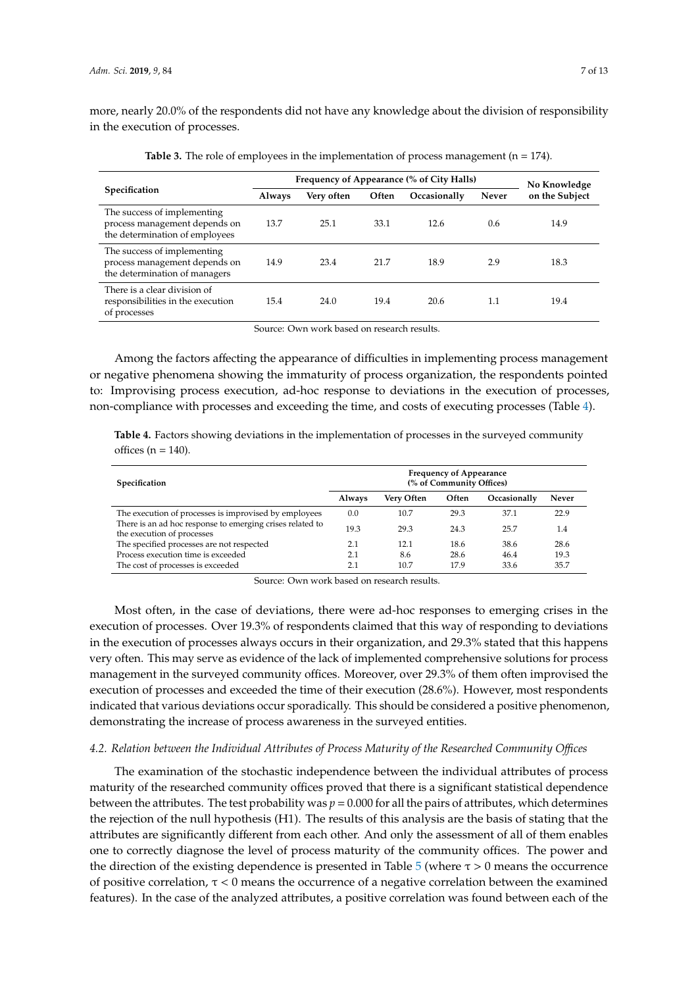more, nearly 20.0% of the respondents did not have any knowledge about the division of responsibility in the execution of processes.

<span id="page-6-0"></span>

|                                                                                                | Frequency of Appearance (% of City Halls) | No Knowledge |       |              |       |                |  |
|------------------------------------------------------------------------------------------------|-------------------------------------------|--------------|-------|--------------|-------|----------------|--|
| Specification                                                                                  | Always                                    | Very often   | Often | Occasionally | Never | on the Subject |  |
| The success of implementing<br>process management depends on<br>the determination of employees | 13.7                                      | 25.1         | 33.1  | 12.6         | 0.6   | 14.9           |  |
| The success of implementing<br>process management depends on<br>the determination of managers  | 14.9                                      | 23.4         | 21.7  | 18.9         | 2.9   | 18.3           |  |
| There is a clear division of<br>responsibilities in the execution<br>of processes              | 15.4                                      | 24.0         | 19.4  | 20.6         | 1.1   | 19.4           |  |

**Table 3.** The role of employees in the implementation of process management ( $n = 174$ ).

Source: Own work based on research results.

Among the factors affecting the appearance of difficulties in implementing process management or negative phenomena showing the immaturity of process organization, the respondents pointed to: Improvising process execution, ad-hoc response to deviations in the execution of processes, non-compliance with processes and exceeding the time, and costs of executing processes (Table [4\)](#page-6-1).

<span id="page-6-1"></span>**Table 4.** Factors showing deviations in the implementation of processes in the surveyed community offices ( $n = 140$ ).

| Specification                                                                           | <b>Frequency of Appearance</b><br>(% of Community Offices) |            |       |              |       |  |  |  |  |  |  |
|-----------------------------------------------------------------------------------------|------------------------------------------------------------|------------|-------|--------------|-------|--|--|--|--|--|--|
|                                                                                         | Always                                                     | Very Often | Often | Occasionally | Never |  |  |  |  |  |  |
| The execution of processes is improvised by employees                                   | 0.0                                                        | 10.7       | 29.3  | 37.1         | 22.9  |  |  |  |  |  |  |
| There is an ad hoc response to emerging crises related to<br>the execution of processes | 19.3                                                       | 29.3       | 24.3  | 25.7         | 1.4   |  |  |  |  |  |  |
| The specified processes are not respected                                               | 2.1                                                        | 12.1       | 18.6  | 38.6         | 28.6  |  |  |  |  |  |  |
| Process execution time is exceeded                                                      | 2.1                                                        | 8.6        | 28.6  | 46.4         | 19.3  |  |  |  |  |  |  |
| The cost of processes is exceeded                                                       | 2.1                                                        | 10.7       | 17.9  | 33.6         | 35.7  |  |  |  |  |  |  |

Source: Own work based on research results.

Most often, in the case of deviations, there were ad-hoc responses to emerging crises in the execution of processes. Over 19.3% of respondents claimed that this way of responding to deviations in the execution of processes always occurs in their organization, and 29.3% stated that this happens very often. This may serve as evidence of the lack of implemented comprehensive solutions for process management in the surveyed community offices. Moreover, over 29.3% of them often improvised the execution of processes and exceeded the time of their execution (28.6%). However, most respondents indicated that various deviations occur sporadically. This should be considered a positive phenomenon, demonstrating the increase of process awareness in the surveyed entities.

### *4.2. Relation between the Individual Attributes of Process Maturity of the Researched Community O*ffi*ces*

The examination of the stochastic independence between the individual attributes of process maturity of the researched community offices proved that there is a significant statistical dependence between the attributes. The test probability was  $p = 0.000$  for all the pairs of attributes, which determines the rejection of the null hypothesis (H1). The results of this analysis are the basis of stating that the attributes are significantly different from each other. And only the assessment of all of them enables one to correctly diagnose the level of process maturity of the community offices. The power and the direction of the existing dependence is presented in Table [5](#page-8-0) (where  $\tau > 0$  means the occurrence of positive correlation,  $\tau$  < 0 means the occurrence of a negative correlation between the examined features). In the case of the analyzed attributes, a positive correlation was found between each of the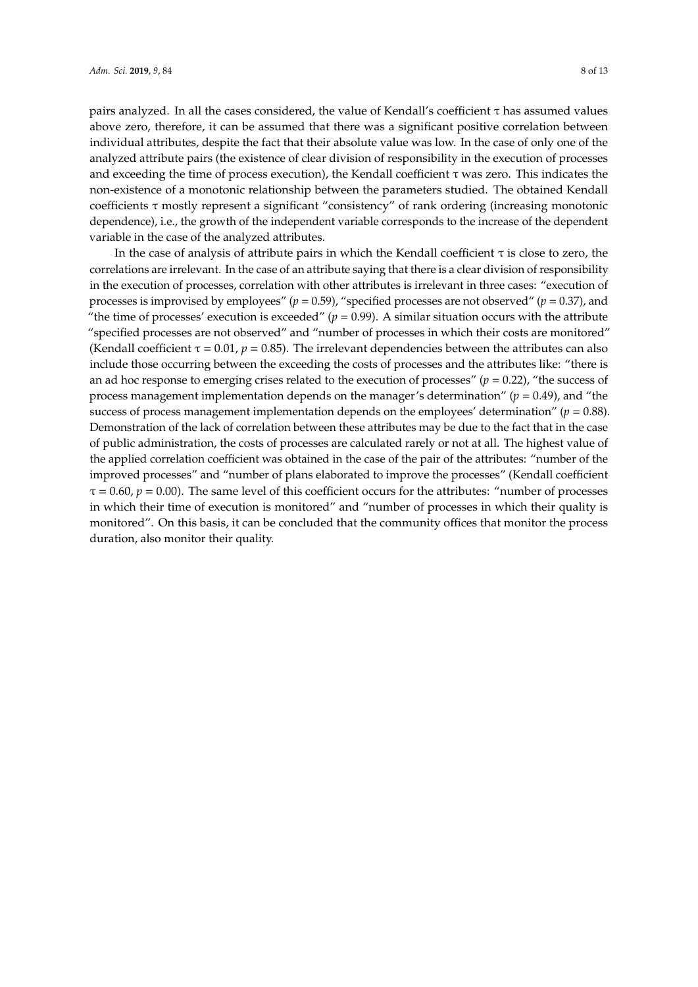pairs analyzed. In all the cases considered, the value of Kendall's coefficient  $\tau$  has assumed values above zero, therefore, it can be assumed that there was a significant positive correlation between individual attributes, despite the fact that their absolute value was low. In the case of only one of the analyzed attribute pairs (the existence of clear division of responsibility in the execution of processes and exceeding the time of process execution), the Kendall coefficient  $\tau$  was zero. This indicates the non-existence of a monotonic relationship between the parameters studied. The obtained Kendall coefficients τ mostly represent a significant "consistency" of rank ordering (increasing monotonic dependence), i.e., the growth of the independent variable corresponds to the increase of the dependent variable in the case of the analyzed attributes.

In the case of analysis of attribute pairs in which the Kendall coefficient  $\tau$  is close to zero, the correlations are irrelevant. In the case of an attribute saying that there is a clear division of responsibility in the execution of processes, correlation with other attributes is irrelevant in three cases: "execution of processes is improvised by employees" (*p* = 0.59), "specified processes are not observed" (*p* = 0.37), and "the time of processes' execution is exceeded" ( $p = 0.99$ ). A similar situation occurs with the attribute "specified processes are not observed" and "number of processes in which their costs are monitored" (Kendall coefficient  $\tau = 0.01$ ,  $p = 0.85$ ). The irrelevant dependencies between the attributes can also include those occurring between the exceeding the costs of processes and the attributes like: "there is an ad hoc response to emerging crises related to the execution of processes" (*p* = 0.22), "the success of process management implementation depends on the manager's determination" ( $p = 0.49$ ), and "the success of process management implementation depends on the employees' determination" ( $p = 0.88$ ). Demonstration of the lack of correlation between these attributes may be due to the fact that in the case of public administration, the costs of processes are calculated rarely or not at all. The highest value of the applied correlation coefficient was obtained in the case of the pair of the attributes: "number of the improved processes" and "number of plans elaborated to improve the processes" (Kendall coefficient  $\tau$  = 0.60,  $p$  = 0.00). The same level of this coefficient occurs for the attributes: "number of processes in which their time of execution is monitored" and "number of processes in which their quality is monitored". On this basis, it can be concluded that the community offices that monitor the process duration, also monitor their quality.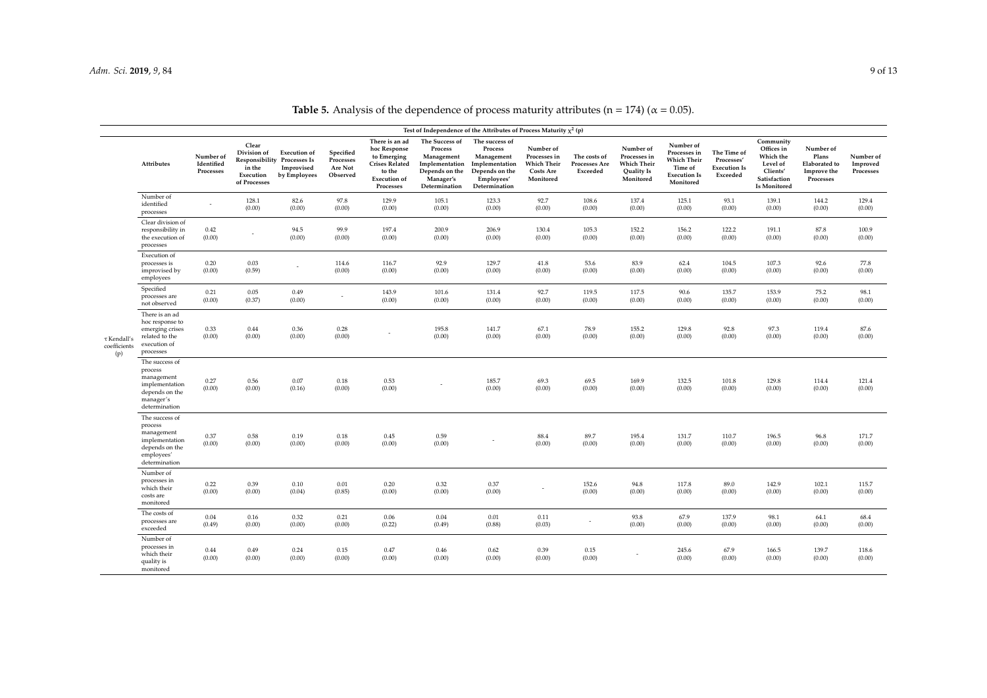<span id="page-8-0"></span>

|                                         | Test of Independence of the Attributes of Process Maturity $\chi^2$ (p)                                    |                                      |                                                                                            |                                                   |                                               |                                                                                                                      |                                                                                                           |                                                                                                            |                                                                                  |                                           |                                                                     |                                                                                                |                                                              |                                                                                                     |                                                                        |                                    |
|-----------------------------------------|------------------------------------------------------------------------------------------------------------|--------------------------------------|--------------------------------------------------------------------------------------------|---------------------------------------------------|-----------------------------------------------|----------------------------------------------------------------------------------------------------------------------|-----------------------------------------------------------------------------------------------------------|------------------------------------------------------------------------------------------------------------|----------------------------------------------------------------------------------|-------------------------------------------|---------------------------------------------------------------------|------------------------------------------------------------------------------------------------|--------------------------------------------------------------|-----------------------------------------------------------------------------------------------------|------------------------------------------------------------------------|------------------------------------|
|                                         | <b>Attributes</b>                                                                                          | Number of<br>Identified<br>Processes | Clear<br>Division of<br>Responsibility Processes Is<br>in the<br>Execution<br>of Processes | <b>Execution of</b><br>Improvised<br>by Employees | Specified<br>Processes<br>Are Not<br>Observed | There is an ad<br>hoc Response<br>to Emerging<br><b>Crises Related</b><br>to the<br><b>Execution</b> of<br>Processes | The Success of<br>Process<br>Management<br>Implementation<br>Depends on the<br>Manager's<br>Determination | The success of<br>Process<br>Management<br>Implementation<br>Depends on the<br>Employees'<br>Determination | Number of<br>Processes in<br><b>Which Their</b><br><b>Costs Are</b><br>Monitored | The costs of<br>Processes Are<br>Exceeded | Number of<br>Processes in<br>Which Their<br>Quality Is<br>Monitored | Number of<br>Processes in<br><b>Which Their</b><br>Time of<br><b>Execution Is</b><br>Monitored | The Time of<br>Processes'<br><b>Execution Is</b><br>Exceeded | Community<br>Offices in<br>Which the<br>Level of<br>Clients'<br>Satisfaction<br><b>Is Monitored</b> | Number of<br>Plans<br><b>Elaborated</b> to<br>Improve the<br>Processes | Number of<br>Improved<br>Processes |
|                                         | Number of<br>identified<br>processes                                                                       | $\sim$                               | 128.1<br>(0.00)                                                                            | 82.6<br>(0.00)                                    | 97.8<br>(0.00)                                | 129.9<br>(0.00)                                                                                                      | 105.1<br>(0.00)                                                                                           | 123.3<br>(0.00)                                                                                            | 92.7<br>(0.00)                                                                   | 108.6<br>(0.00)                           | 137.4<br>(0.00)                                                     | 125.1<br>(0.00)                                                                                | 93.1<br>(0.00)                                               | 139.1<br>(0.00)                                                                                     | 144.2<br>(0.00)                                                        | 129.4<br>(0.00)                    |
|                                         | Clear division of<br>responsibility in<br>the execution of<br>processes                                    | 0.42<br>(0.00)                       |                                                                                            | 94.5<br>(0.00)                                    | 99.9<br>(0.00)                                | 197.4<br>(0.00)                                                                                                      | 200.9<br>(0.00)                                                                                           | 206.9<br>(0.00)                                                                                            | 130.4<br>(0.00)                                                                  | 105.3<br>(0.00)                           | 152.2<br>(0.00)                                                     | 156.2<br>(0.00)                                                                                | 122.2<br>(0.00)                                              | 191.1<br>(0.00)                                                                                     | 87.8<br>(0.00)                                                         | 100.9<br>(0.00)                    |
|                                         | Execution of<br>processes is<br>improvised by<br>employees                                                 | 0.20<br>(0.00)                       | 0.03<br>(0.59)                                                                             |                                                   | 114.6<br>(0.00)                               | 116.7<br>(0.00)                                                                                                      | 92.9<br>(0.00)                                                                                            | 129.7<br>(0.00)                                                                                            | 41.8<br>(0.00)                                                                   | 53.6<br>(0.00)                            | 83.9<br>(0.00)                                                      | 62.4<br>(0.00)                                                                                 | 104.5<br>(0.00)                                              | 107.3<br>(0.00)                                                                                     | 92.6<br>(0.00)                                                         | 77.8<br>(0.00)                     |
| $\tau$ Kendall's<br>coefficients<br>(p) | Specified<br>processes are<br>not observed                                                                 | 0.21<br>(0.00)                       | 0.05<br>(0.37)                                                                             | 0.49<br>(0.00)                                    |                                               | 143.9<br>(0.00)                                                                                                      | 101.6<br>(0.00)                                                                                           | 131.4<br>(0.00)                                                                                            | 92.7<br>(0.00)                                                                   | 119.5<br>(0.00)                           | 117.5<br>(0.00)                                                     | 90.6<br>(0.00)                                                                                 | 135.7<br>(0.00)                                              | 153.9<br>(0.00)                                                                                     | 75.2<br>(0.00)                                                         | 98.1<br>(0.00)                     |
|                                         | There is an ad<br>hoc response to<br>emerging crises<br>related to the<br>execution of<br>processes        | 0.33<br>(0.00)                       | 0.44<br>(0.00)                                                                             | 0.36<br>(0.00)                                    | 0.28<br>(0.00)                                |                                                                                                                      | 195.8<br>(0.00)                                                                                           | 141.7<br>(0.00)                                                                                            | 67.1<br>(0.00)                                                                   | 78.9<br>(0.00)                            | 155.2<br>(0.00)                                                     | 129.8<br>(0.00)                                                                                | 92.8<br>(0.00)                                               | 97.3<br>(0.00)                                                                                      | 119.4<br>(0.00)                                                        | 87.6<br>(0.00)                     |
|                                         | The success of<br>process<br>management<br>implementation<br>depends on the<br>manager's<br>determination  | 0.27<br>(0.00)                       | 0.56<br>(0.00)                                                                             | 0.07<br>(0.16)                                    | 0.18<br>(0.00)                                | 0.53<br>(0.00)                                                                                                       |                                                                                                           | 185.7<br>(0.00)                                                                                            | 69.3<br>(0.00)                                                                   | 69.5<br>(0.00)                            | 169.9<br>(0.00)                                                     | 132.5<br>(0.00)                                                                                | 101.8<br>(0.00)                                              | 129.8<br>(0.00)                                                                                     | 114.4<br>(0.00)                                                        | 121.4<br>(0.00)                    |
|                                         | The success of<br>process<br>management<br>implementation<br>depends on the<br>employees'<br>determination | 0.37<br>(0.00)                       | 0.58<br>(0.00)                                                                             | 0.19<br>(0.00)                                    | $0.18\,$<br>(0.00)                            | 0.45<br>(0.00)                                                                                                       | 0.59<br>(0.00)                                                                                            |                                                                                                            | 88.4<br>(0.00)                                                                   | 89.7<br>(0.00)                            | 195.4<br>(0.00)                                                     | 131.7<br>(0.00)                                                                                | 110.7<br>(0.00)                                              | 196.5<br>(0.00)                                                                                     | 96.8<br>(0.00)                                                         | 171.7<br>(0.00)                    |
|                                         | Number of<br>processes in<br>which their<br>costs are<br>monitored                                         | 0.22<br>(0.00)                       | 0.39<br>(0.00)                                                                             | 0.10<br>(0.04)                                    | 0.01<br>(0.85)                                | 0.20<br>(0.00)                                                                                                       | 0.32<br>(0.00)                                                                                            | 0.37<br>(0.00)                                                                                             |                                                                                  | 152.6<br>(0.00)                           | 94.8<br>(0.00)                                                      | 117.8<br>(0.00)                                                                                | 89.0<br>(0.00)                                               | 142.9<br>(0.00)                                                                                     | 102.1<br>(0.00)                                                        | 115.7<br>(0.00)                    |
|                                         | The costs of<br>processes are<br>exceeded                                                                  | 0.04<br>(0.49)                       | 0.16<br>(0.00)                                                                             | 0.32<br>(0.00)                                    | 0.21<br>(0.00)                                | 0.06<br>(0.22)                                                                                                       | 0.04<br>(0.49)                                                                                            | 0.01<br>(0.88)                                                                                             | 0.11<br>(0.03)                                                                   |                                           | 93.8<br>(0.00)                                                      | 67.9<br>(0.00)                                                                                 | 137.9<br>(0.00)                                              | 98.1<br>(0.00)                                                                                      | 64.1<br>(0.00)                                                         | 68.4<br>(0.00)                     |
|                                         | Number of<br>processes in<br>which their<br>quality is<br>monitored                                        | 0.44<br>(0.00)                       | 0.49<br>(0.00)                                                                             | 0.24<br>(0.00)                                    | 0.15<br>(0.00)                                | 0.47<br>(0.00)                                                                                                       | 0.46<br>(0.00)                                                                                            | 0.62<br>(0.00)                                                                                             | 0.39<br>(0.00)                                                                   | 0.15<br>(0.00)                            |                                                                     | 245.6<br>(0.00)                                                                                | 67.9<br>(0.00)                                               | 166.5<br>(0.00)                                                                                     | 139.7<br>(0.00)                                                        | 118.6<br>(0.00)                    |

# **Table 5.** Analysis of the dependence of process maturity attributes (n = 174) ( $\alpha$  = 0.05).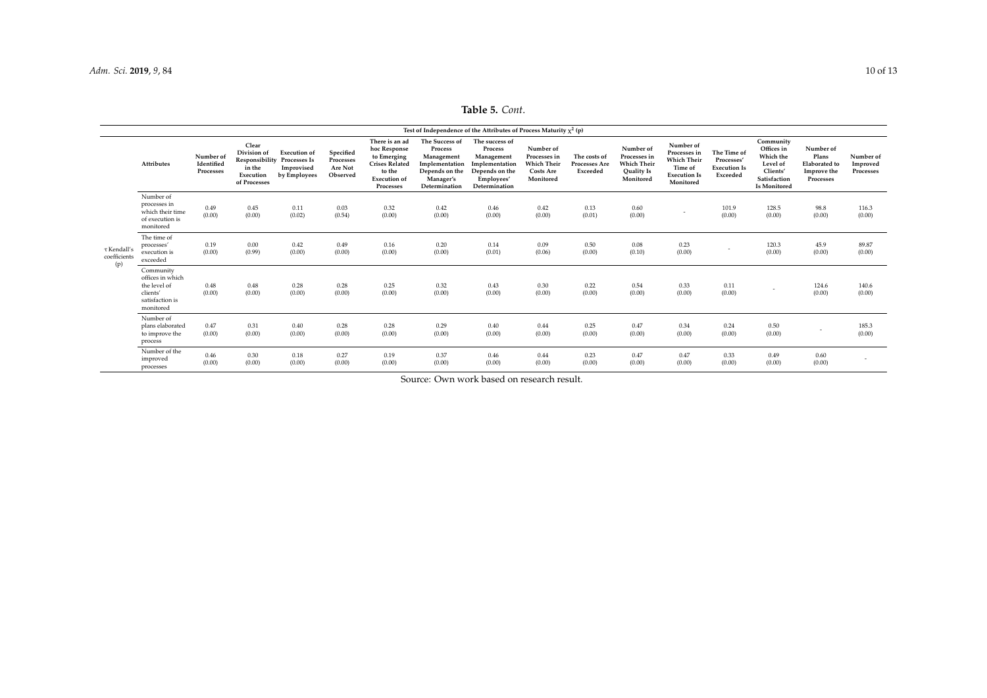### **Table 5.** *Cont*.

|                                         | Test of Independence of the Attributes of Process Maturity $\chi^2$ (p)                   |                                      |                                                                               |                                                                   |                                               |                                                                                                                      |                                                                                                           |                                                                                                            |                                                                                  |                                           |                                                                                   |                                                                                                |                                                              |                                                                                                     |                                                                        |                                    |
|-----------------------------------------|-------------------------------------------------------------------------------------------|--------------------------------------|-------------------------------------------------------------------------------|-------------------------------------------------------------------|-----------------------------------------------|----------------------------------------------------------------------------------------------------------------------|-----------------------------------------------------------------------------------------------------------|------------------------------------------------------------------------------------------------------------|----------------------------------------------------------------------------------|-------------------------------------------|-----------------------------------------------------------------------------------|------------------------------------------------------------------------------------------------|--------------------------------------------------------------|-----------------------------------------------------------------------------------------------------|------------------------------------------------------------------------|------------------------------------|
| $\tau$ Kendall's<br>coefficients<br>(p) | <b>Attributes</b>                                                                         | Number of<br>Identified<br>Processes | Clear<br>Division of<br>Responsibility<br>in the<br>Execution<br>of Processes | <b>Execution of</b><br>Processes Is<br>Improvised<br>by Employees | Specified<br>Processes<br>Are Not<br>Observed | There is an ad<br>hoc Response<br>to Emerging<br><b>Crises Related</b><br>to the<br><b>Execution of</b><br>Processes | The Success of<br>Process<br>Management<br>Implementation<br>Depends on the<br>Manager's<br>Determination | The success of<br>Process<br>Management<br>Implementation<br>Depends on the<br>Employees'<br>Determination | Number of<br>Processes in<br><b>Which Their</b><br><b>Costs Are</b><br>Monitored | The costs of<br>Processes Are<br>Exceeded | Number of<br>Processes in<br><b>Which Their</b><br><b>Ouality Is</b><br>Monitored | Number of<br>Processes in<br><b>Which Their</b><br>Time of<br><b>Execution Is</b><br>Monitored | The Time of<br>Processes'<br><b>Execution Is</b><br>Exceeded | Community<br>Offices in<br>Which the<br>Level of<br>Clients'<br>Satisfaction<br><b>Is Monitored</b> | Number of<br>Plans<br><b>Elaborated</b> to<br>Improve the<br>Processes | Number of<br>Improved<br>Processes |
|                                         | Number of<br>processes in<br>which their time<br>of execution is<br>monitored             | 0.49<br>(0.00)                       | 0.45<br>(0.00)                                                                | 0.11<br>(0.02)                                                    | 0.03<br>(0.54)                                | 0.32<br>(0.00)                                                                                                       | 0.42<br>(0.00)                                                                                            | 0.46<br>(0.00)                                                                                             | 0.42<br>(0.00)                                                                   | 0.13<br>(0.01)                            | 0.60<br>(0.00)                                                                    |                                                                                                | 101.9<br>(0.00)                                              | 128.5<br>(0.00)                                                                                     | 98.8<br>(0.00)                                                         | 116.3<br>(0.00)                    |
|                                         | The time of<br>processes'<br>execution is<br>exceeded                                     | 0.19<br>(0.00)                       | 0.00<br>(0.99)                                                                | 0.42<br>(0.00)                                                    | 0.49<br>(0.00)                                | 0.16<br>(0.00)                                                                                                       | 0.20<br>(0.00)                                                                                            | 0.14<br>(0.01)                                                                                             | 0.09<br>(0.06)                                                                   | 0.50<br>(0.00)                            | 0.08<br>(0.10)                                                                    | 0.23<br>(0.00)                                                                                 |                                                              | 120.3<br>(0.00)                                                                                     | 45.9<br>(0.00)                                                         | 89.87<br>(0.00)                    |
|                                         | Community<br>offices in which<br>the level of<br>clients'<br>satisfaction is<br>monitored | 0.48<br>(0.00)                       | 0.48<br>(0.00)                                                                | 0.28<br>(0.00)                                                    | 0.28<br>(0.00)                                | 0.25<br>(0.00)                                                                                                       | 0.32<br>(0.00)                                                                                            | 0.43<br>(0.00)                                                                                             | 0.30<br>(0.00)                                                                   | 0.22<br>(0.00)                            | 0.54<br>(0.00)                                                                    | 0.33<br>(0.00)                                                                                 | 0.11<br>(0.00)                                               |                                                                                                     | 124.6<br>(0.00)                                                        | 140.6<br>(0.00)                    |
|                                         | Number of<br>plans elaborated<br>to improve the<br>process                                | 0.47<br>(0.00)                       | 0.31<br>(0.00)                                                                | 0.40<br>(0.00)                                                    | 0.28<br>(0.00)                                | 0.28<br>(0.00)                                                                                                       | 0.29<br>(0.00)                                                                                            | 0.40<br>(0.00)                                                                                             | 0.44<br>(0.00)                                                                   | 0.25<br>(0.00)                            | 0.47<br>(0.00)                                                                    | 0.34<br>(0.00)                                                                                 | 0.24<br>(0.00)                                               | 0.50<br>(0.00)                                                                                      | $\overline{\phantom{a}}$                                               | 185.3<br>(0.00)                    |
|                                         | Number of the<br>improved<br>processes                                                    | 0.46<br>(0.00)                       | 0.30<br>(0.00)                                                                | 0.18<br>(0.00)                                                    | 0.27<br>(0.00)                                | 0.19<br>(0.00)                                                                                                       | 0.37<br>(0.00)                                                                                            | 0.46<br>(0.00)                                                                                             | 0.44<br>(0.00)                                                                   | 0.23<br>(0.00)                            | 0.47<br>(0.00)                                                                    | 0.47<br>(0.00)                                                                                 | 0.33<br>(0.00)                                               | 0.49<br>(0.00)                                                                                      | 0.60<br>(0.00)                                                         | ٠                                  |

Source: Own work based on research result.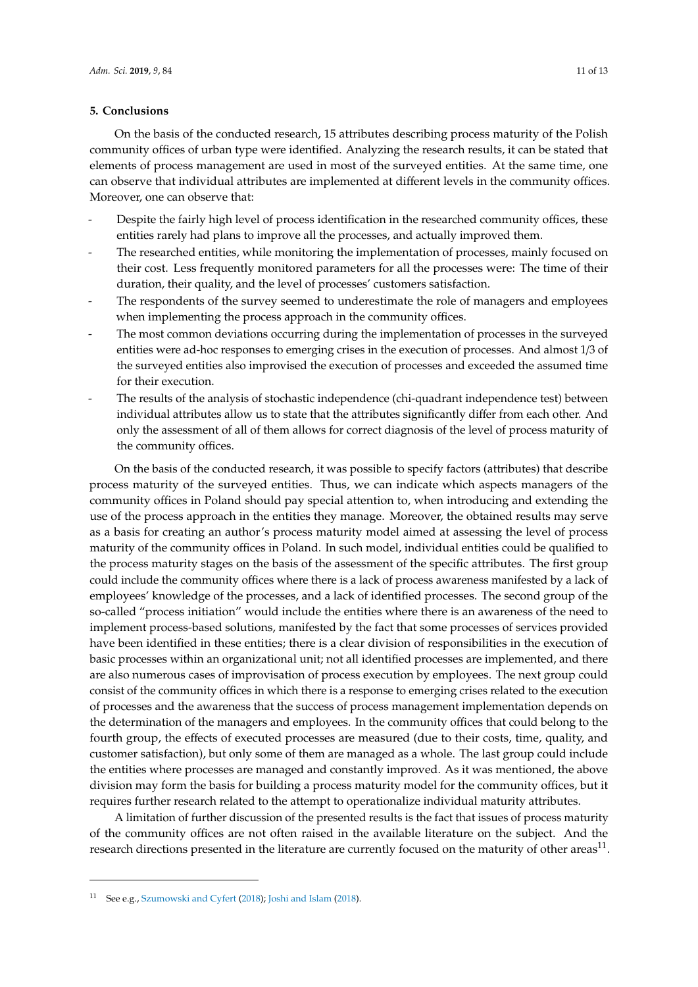#### **5. Conclusions**

On the basis of the conducted research, 15 attributes describing process maturity of the Polish community offices of urban type were identified. Analyzing the research results, it can be stated that elements of process management are used in most of the surveyed entities. At the same time, one can observe that individual attributes are implemented at different levels in the community offices. Moreover, one can observe that:

- Despite the fairly high level of process identification in the researched community offices, these entities rarely had plans to improve all the processes, and actually improved them.
- The researched entities, while monitoring the implementation of processes, mainly focused on their cost. Less frequently monitored parameters for all the processes were: The time of their duration, their quality, and the level of processes' customers satisfaction.
- The respondents of the survey seemed to underestimate the role of managers and employees when implementing the process approach in the community offices.
- The most common deviations occurring during the implementation of processes in the surveyed entities were ad-hoc responses to emerging crises in the execution of processes. And almost 1/3 of the surveyed entities also improvised the execution of processes and exceeded the assumed time for their execution.
- The results of the analysis of stochastic independence (chi-quadrant independence test) between individual attributes allow us to state that the attributes significantly differ from each other. And only the assessment of all of them allows for correct diagnosis of the level of process maturity of the community offices.

On the basis of the conducted research, it was possible to specify factors (attributes) that describe process maturity of the surveyed entities. Thus, we can indicate which aspects managers of the community offices in Poland should pay special attention to, when introducing and extending the use of the process approach in the entities they manage. Moreover, the obtained results may serve as a basis for creating an author's process maturity model aimed at assessing the level of process maturity of the community offices in Poland. In such model, individual entities could be qualified to the process maturity stages on the basis of the assessment of the specific attributes. The first group could include the community offices where there is a lack of process awareness manifested by a lack of employees' knowledge of the processes, and a lack of identified processes. The second group of the so-called "process initiation" would include the entities where there is an awareness of the need to implement process-based solutions, manifested by the fact that some processes of services provided have been identified in these entities; there is a clear division of responsibilities in the execution of basic processes within an organizational unit; not all identified processes are implemented, and there are also numerous cases of improvisation of process execution by employees. The next group could consist of the community offices in which there is a response to emerging crises related to the execution of processes and the awareness that the success of process management implementation depends on the determination of the managers and employees. In the community offices that could belong to the fourth group, the effects of executed processes are measured (due to their costs, time, quality, and customer satisfaction), but only some of them are managed as a whole. The last group could include the entities where processes are managed and constantly improved. As it was mentioned, the above division may form the basis for building a process maturity model for the community offices, but it requires further research related to the attempt to operationalize individual maturity attributes.

A limitation of further discussion of the presented results is the fact that issues of process maturity of the community offices are not often raised in the available literature on the subject. And the research directions presented in the literature are currently focused on the maturity of other areas<sup>11</sup>.

<sup>11</sup> See e.g., [Szumowski and Cyfert](#page-12-8) [\(2018\)](#page-12-8); [Joshi and Islam](#page-11-19) [\(2018\)](#page-11-19).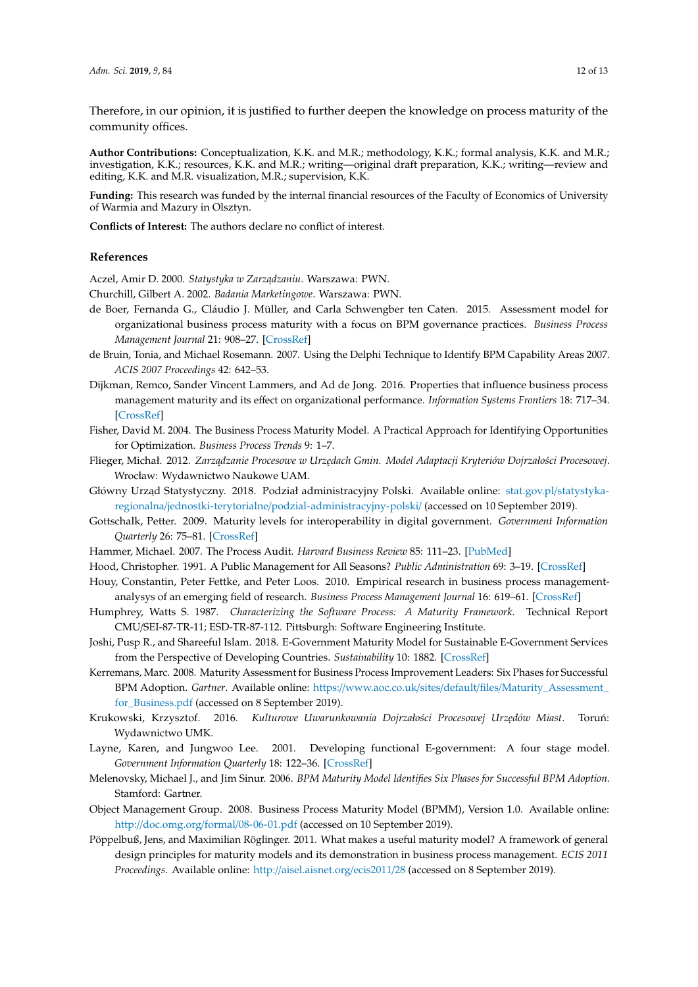Therefore, in our opinion, it is justified to further deepen the knowledge on process maturity of the community offices.

**Author Contributions:** Conceptualization, K.K. and M.R.; methodology, K.K.; formal analysis, K.K. and M.R.; investigation, K.K.; resources, K.K. and M.R.; writing—original draft preparation, K.K.; writing—review and editing, K.K. and M.R. visualization, M.R.; supervision, K.K.

**Funding:** This research was funded by the internal financial resources of the Faculty of Economics of University of Warmia and Mazury in Olsztyn.

**Conflicts of Interest:** The authors declare no conflict of interest.

#### **References**

<span id="page-11-16"></span>Aczel, Amir D. 2000. *Statystyka w Zarzadzaniu*. Warszawa: PWN.

<span id="page-11-14"></span><span id="page-11-10"></span>Churchill, Gilbert A. 2002. *Badania Marketingowe*. Warszawa: PWN.

- de Boer, Fernanda G., Cláudio J. Müller, and Carla Schwengber ten Caten. 2015. Assessment model for organizational business process maturity with a focus on BPM governance practices. *Business Process Management Journal* 21: 908–27. [\[CrossRef\]](http://dx.doi.org/10.1108/BPMJ-11-2014-0109)
- <span id="page-11-2"></span>de Bruin, Tonia, and Michael Rosemann. 2007. Using the Delphi Technique to Identify BPM Capability Areas 2007. *ACIS 2007 Proceedings* 42: 642–53.
- <span id="page-11-18"></span>Dijkman, Remco, Sander Vincent Lammers, and Ad de Jong. 2016. Properties that influence business process management maturity and its effect on organizational performance. *Information Systems Frontiers* 18: 717–34. [\[CrossRef\]](http://dx.doi.org/10.1007/s10796-015-9554-5)
- <span id="page-11-9"></span>Fisher, David M. 2004. The Business Process Maturity Model. A Practical Approach for Identifying Opportunities for Optimization. *Business Process Trends* 9: 1–7.
- <span id="page-11-15"></span>Flieger, Michał. 2012. *Zarz ˛adzanie Procesowe w Urz˛edach Gmin. Model Adaptacji Kryteriów Dojrzało´sci Procesowej*. Wrocław: Wydawnictwo Naukowe UAM.
- <span id="page-11-17"></span>Główny Urząd Statystyczny. 2018. Podział administracyjny Polski. Available online: stat.gov.pl/[statystyka](stat.gov.pl/statystyka-regionalna/jednostki-terytorialne/podzial-administracyjny-polski/)regionalna/jednostki-terytorialne/[podzial-administracyjny-polski](stat.gov.pl/statystyka-regionalna/jednostki-terytorialne/podzial-administracyjny-polski/)/ (accessed on 10 September 2019).
- <span id="page-11-11"></span>Gottschalk, Petter. 2009. Maturity levels for interoperability in digital government. *Government Information Quarterly* 26: 75–81. [\[CrossRef\]](http://dx.doi.org/10.1016/j.giq.2008.03.003)
- <span id="page-11-6"></span>Hammer, Michael. 2007. The Process Audit. *Harvard Business Review* 85: 111–23. [\[PubMed\]](http://www.ncbi.nlm.nih.gov/pubmed/17432158)
- <span id="page-11-1"></span>Hood, Christopher. 1991. A Public Management for All Seasons? *Public Administration* 69: 3–19. [\[CrossRef\]](http://dx.doi.org/10.1111/j.1467-9299.1991.tb00779.x)
- <span id="page-11-0"></span>Houy, Constantin, Peter Fettke, and Peter Loos. 2010. Empirical research in business process managementanalysys of an emerging field of research. *Business Process Management Journal* 16: 619–61. [\[CrossRef\]](http://dx.doi.org/10.1108/14637151011065946)
- <span id="page-11-5"></span>Humphrey, Watts S. 1987. *Characterizing the Software Process: A Maturity Framework*. Technical Report CMU/SEI-87-TR-11; ESD-TR-87-112. Pittsburgh: Software Engineering Institute.
- <span id="page-11-19"></span>Joshi, Pusp R., and Shareeful Islam. 2018. E-Government Maturity Model for Sustainable E-Government Services from the Perspective of Developing Countries. *Sustainability* 10: 1882. [\[CrossRef\]](http://dx.doi.org/10.3390/su10061882)
- <span id="page-11-8"></span>Kerremans, Marc. 2008. Maturity Assessment for Business Process Improvement Leaders: Six Phases for Successful BPM Adoption. *Gartner*. Available online: https://www.aoc.co.uk/sites/default/files/[Maturity\\_Assessment\\_](https://www.aoc.co.uk/sites/default/files/Maturity_Assessment_for_Business.pdf) [for\\_Business.pdf](https://www.aoc.co.uk/sites/default/files/Maturity_Assessment_for_Business.pdf) (accessed on 8 September 2019).
- <span id="page-11-3"></span>Krukowski, Krzysztof. 2016. *Kulturowe Uwarunkowania Dojrzałości Procesowej Urzędów Miast*. Toruń: Wydawnictwo UMK.
- <span id="page-11-12"></span>Layne, Karen, and Jungwoo Lee. 2001. Developing functional E-government: A four stage model. *Government Information Quarterly* 18: 122–36. [\[CrossRef\]](http://dx.doi.org/10.1016/S0740-624X(01)00066-1)
- <span id="page-11-7"></span>Melenovsky, Michael J., and Jim Sinur. 2006. *BPM Maturity Model Identifies Six Phases for Successful BPM Adoption*. Stamford: Gartner.
- <span id="page-11-13"></span>Object Management Group. 2008. Business Process Maturity Model (BPMM), Version 1.0. Available online: http://doc.omg.org/formal/[08-06-01.pdf](http://doc.omg.org/formal/08-06-01.pdf) (accessed on 10 September 2019).
- <span id="page-11-4"></span>Pöppelbuß, Jens, and Maximilian Röglinger. 2011. What makes a useful maturity model? A framework of general design principles for maturity models and its demonstration in business process management. *ECIS 2011 Proceedings*. Available online: http://[aisel.aisnet.org](http://aisel.aisnet.org/ecis2011/28)/ecis2011/28 (accessed on 8 September 2019).